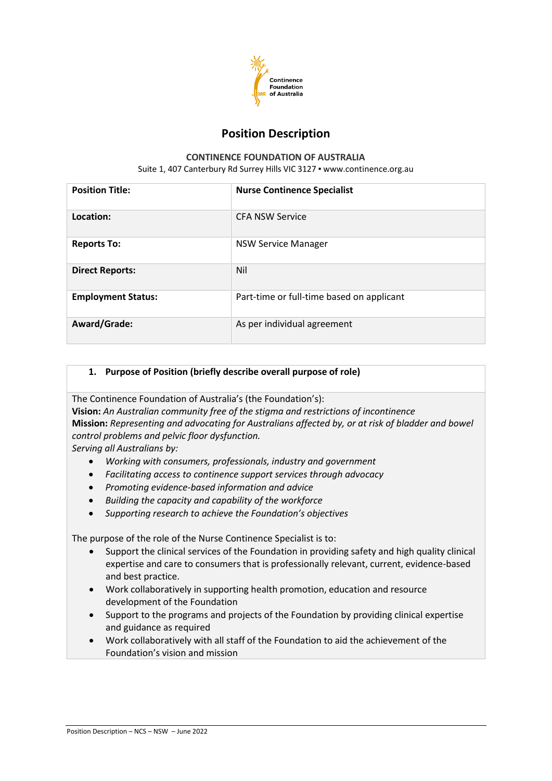

# **Position Description**

### **CONTINENCE FOUNDATION OF AUSTRALIA**

Suite 1, 407 Canterbury Rd Surrey Hills VIC 3127 · [www.continence.org.au](http://www.continence.org.au/)

| <b>Position Title:</b>    | <b>Nurse Continence Specialist</b>        |
|---------------------------|-------------------------------------------|
| Location:                 | <b>CFA NSW Service</b>                    |
| <b>Reports To:</b>        | <b>NSW Service Manager</b>                |
| <b>Direct Reports:</b>    | Nil                                       |
| <b>Employment Status:</b> | Part-time or full-time based on applicant |
| Award/Grade:              | As per individual agreement               |

## **1. Purpose of Position (briefly describe overall purpose of role)**

The Continence Foundation of Australia's (the Foundation's):

**Vision:** *An Australian community free of the stigma and restrictions of incontinence* **Mission:** *Representing and advocating for Australians affected by, or at risk of bladder and bowel control problems and pelvic floor dysfunction.*

*Serving all Australians by:*

- *Working with consumers, professionals, industry and government*
- *Facilitating access to continence support services through advocacy*
- *Promoting evidence-based information and advice*
- *Building the capacity and capability of the workforce*
- *Supporting research to achieve the Foundation's objectives*

The purpose of the role of the Nurse Continence Specialist is to:

- Support the clinical services of the Foundation in providing safety and high quality clinical expertise and care to consumers that is professionally relevant, current, evidence-based and best practice.
- Work collaboratively in supporting health promotion, education and resource development of the Foundation
- Support to the programs and projects of the Foundation by providing clinical expertise and guidance as required
- Work collaboratively with all staff of the Foundation to aid the achievement of the Foundation's vision and mission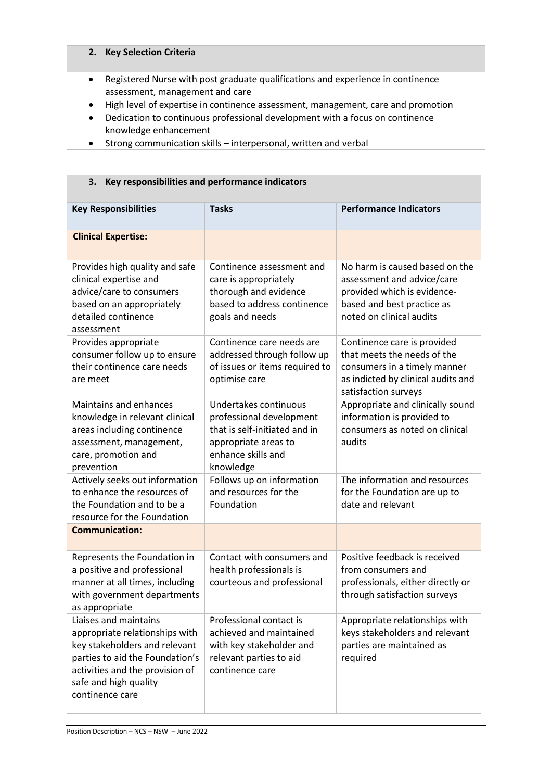### **2. Key Selection Criteria**

- Registered Nurse with post graduate qualifications and experience in continence assessment, management and care
- High level of expertise in continence assessment, management, care and promotion
- Dedication to continuous professional development with a focus on continence knowledge enhancement
- Strong communication skills interpersonal, written and verbal

**3. Key responsibilities and performance indicators**

| <b>Key Responsibilities</b>                                                                                                                                                                                | <b>Tasks</b>                                                                                                                                  | <b>Performance Indicators</b>                                                                                                                            |  |
|------------------------------------------------------------------------------------------------------------------------------------------------------------------------------------------------------------|-----------------------------------------------------------------------------------------------------------------------------------------------|----------------------------------------------------------------------------------------------------------------------------------------------------------|--|
| <b>Clinical Expertise:</b>                                                                                                                                                                                 |                                                                                                                                               |                                                                                                                                                          |  |
| Provides high quality and safe<br>clinical expertise and<br>advice/care to consumers<br>based on an appropriately<br>detailed continence<br>assessment                                                     | Continence assessment and<br>care is appropriately<br>thorough and evidence<br>based to address continence<br>goals and needs                 | No harm is caused based on the<br>assessment and advice/care<br>provided which is evidence-<br>based and best practice as<br>noted on clinical audits    |  |
| Provides appropriate<br>consumer follow up to ensure<br>their continence care needs<br>are meet                                                                                                            | Continence care needs are<br>addressed through follow up<br>of issues or items required to<br>optimise care                                   | Continence care is provided<br>that meets the needs of the<br>consumers in a timely manner<br>as indicted by clinical audits and<br>satisfaction surveys |  |
| <b>Maintains and enhances</b><br>knowledge in relevant clinical<br>areas including continence<br>assessment, management,<br>care, promotion and<br>prevention                                              | Undertakes continuous<br>professional development<br>that is self-initiated and in<br>appropriate areas to<br>enhance skills and<br>knowledge | Appropriate and clinically sound<br>information is provided to<br>consumers as noted on clinical<br>audits                                               |  |
| Actively seeks out information<br>to enhance the resources of<br>the Foundation and to be a<br>resource for the Foundation                                                                                 | Follows up on information<br>and resources for the<br>Foundation                                                                              | The information and resources<br>for the Foundation are up to<br>date and relevant                                                                       |  |
| <b>Communication:</b>                                                                                                                                                                                      |                                                                                                                                               |                                                                                                                                                          |  |
| Represents the Foundation in<br>a positive and professional<br>manner at all times, including<br>with government departments<br>as appropriate                                                             | Contact with consumers and<br>health professionals is<br>courteous and professional                                                           | Positive feedback is received<br>from consumers and<br>professionals, either directly or<br>through satisfaction surveys                                 |  |
| Liaises and maintains<br>appropriate relationships with<br>key stakeholders and relevant<br>parties to aid the Foundation's<br>activities and the provision of<br>safe and high quality<br>continence care | Professional contact is<br>achieved and maintained<br>with key stakeholder and<br>relevant parties to aid<br>continence care                  | Appropriate relationships with<br>keys stakeholders and relevant<br>parties are maintained as<br>required                                                |  |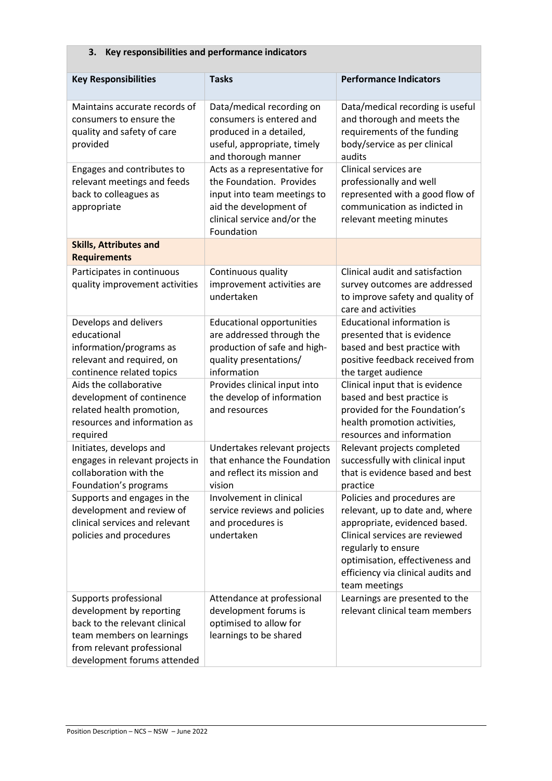#### **Key Responsibilities Tasks Performance Indicators** Maintains accurate records of consumers to ensure the quality and safety of care provided Data/medical recording on consumers is entered and produced in a detailed, useful, appropriate, timely and thorough manner Data/medical recording is useful and thorough and meets the requirements of the funding body/service as per clinical audits Engages and contributes to relevant meetings and feeds back to colleagues as appropriate Acts as a representative for the Foundation. Provides input into team meetings to aid the development of clinical service and/or the Foundation Clinical services are professionally and well represented with a good flow of communication as indicted in relevant meeting minutes **Skills, Attributes and Requirements** Participates in continuous quality improvement activities Continuous quality improvement activities are undertaken Clinical audit and satisfaction survey outcomes are addressed to improve safety and quality of care and activities Develops and delivers educational information/programs as relevant and required, on continence related topics Educational opportunities are addressed through the production of safe and highquality presentations/ information Educational information is presented that is evidence based and best practice with positive feedback received from the target audience Aids the collaborative development of continence related health promotion, resources and information as required Provides clinical input into the develop of information and resources Clinical input that is evidence based and best practice is provided for the Foundation's health promotion activities, resources and information Initiates, develops and engages in relevant projects in collaboration with the Foundation's programs Undertakes relevant projects that enhance the Foundation and reflect its mission and vision Relevant projects completed successfully with clinical input that is evidence based and best practice Supports and engages in the development and review of clinical services and relevant policies and procedures Involvement in clinical service reviews and policies and procedures is undertaken Policies and procedures are relevant, up to date and, where appropriate, evidenced based. Clinical services are reviewed regularly to ensure optimisation, effectiveness and efficiency via clinical audits and team meetings Supports professional development by reporting back to the relevant clinical team members on learnings from relevant professional development forums attended Attendance at professional development forums is optimised to allow for learnings to be shared Learnings are presented to the relevant clinical team members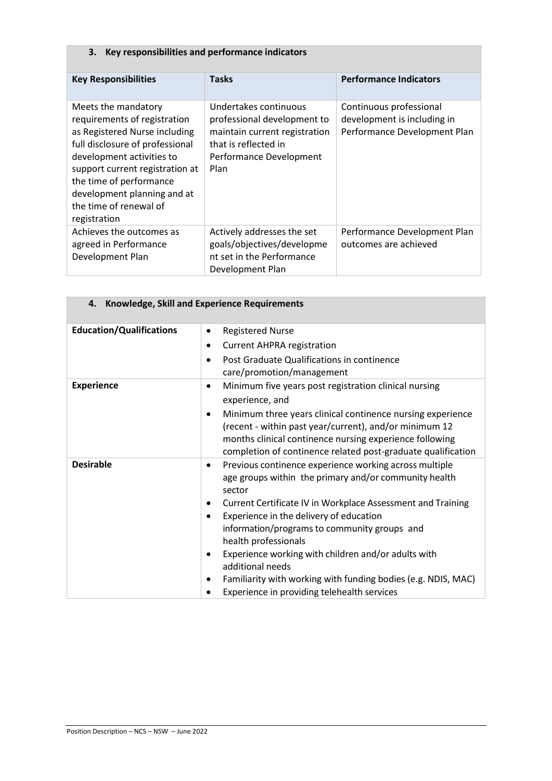## **3. Key responsibilities and performance indicators**

| <b>Key Responsibilities</b>                                                                                                                                                                                                                                                                 | <b>Tasks</b>                                                                                                                                     | <b>Performance Indicators</b>                                                          |  |  |
|---------------------------------------------------------------------------------------------------------------------------------------------------------------------------------------------------------------------------------------------------------------------------------------------|--------------------------------------------------------------------------------------------------------------------------------------------------|----------------------------------------------------------------------------------------|--|--|
| Meets the mandatory<br>requirements of registration<br>as Registered Nurse including<br>full disclosure of professional<br>development activities to<br>support current registration at<br>the time of performance<br>development planning and at<br>the time of renewal of<br>registration | Undertakes continuous<br>professional development to<br>maintain current registration<br>that is reflected in<br>Performance Development<br>Plan | Continuous professional<br>development is including in<br>Performance Development Plan |  |  |
| Achieves the outcomes as<br>agreed in Performance<br>Development Plan                                                                                                                                                                                                                       | Actively addresses the set<br>goals/objectives/developme<br>nt set in the Performance<br>Development Plan                                        | Performance Development Plan<br>outcomes are achieved                                  |  |  |

| <b>Knowledge, Skill and Experience Requirements</b><br>4. |                                                                                                                              |  |
|-----------------------------------------------------------|------------------------------------------------------------------------------------------------------------------------------|--|
| <b>Education/Qualifications</b>                           | <b>Registered Nurse</b><br>$\bullet$                                                                                         |  |
|                                                           | <b>Current AHPRA registration</b><br>$\bullet$                                                                               |  |
|                                                           | Post Graduate Qualifications in continence<br>$\bullet$                                                                      |  |
|                                                           | care/promotion/management                                                                                                    |  |
| <b>Experience</b>                                         | Minimum five years post registration clinical nursing<br>$\bullet$                                                           |  |
|                                                           | experience, and                                                                                                              |  |
|                                                           | Minimum three years clinical continence nursing experience<br>٠                                                              |  |
|                                                           | (recent - within past year/current), and/or minimum 12                                                                       |  |
|                                                           | months clinical continence nursing experience following                                                                      |  |
| <b>Desirable</b>                                          | completion of continence related post-graduate qualification                                                                 |  |
|                                                           | Previous continence experience working across multiple<br>$\bullet$<br>age groups within the primary and/or community health |  |
|                                                           | sector                                                                                                                       |  |
|                                                           | Current Certificate IV in Workplace Assessment and Training<br>٠                                                             |  |
|                                                           | Experience in the delivery of education<br>٠                                                                                 |  |
|                                                           | information/programs to community groups and                                                                                 |  |
|                                                           | health professionals                                                                                                         |  |
|                                                           | Experience working with children and/or adults with<br>$\bullet$                                                             |  |
|                                                           | additional needs                                                                                                             |  |
|                                                           | Familiarity with working with funding bodies (e.g. NDIS, MAC)                                                                |  |
|                                                           | Experience in providing telehealth services                                                                                  |  |